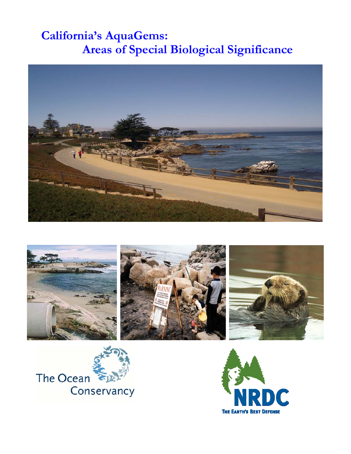# **California's AquaGems: Areas of Special Biological Significance**







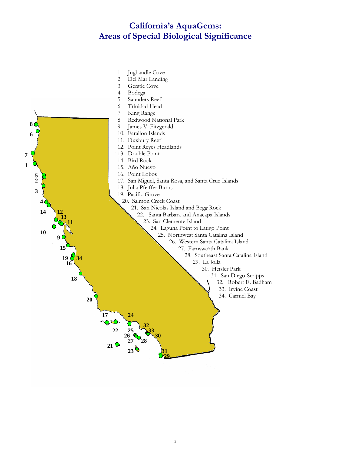### **California's AquaGems: Areas of Special Biological Significance**

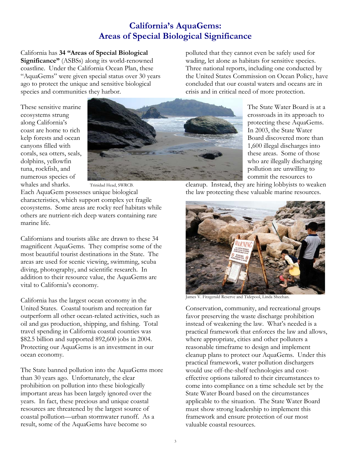### **California's AquaGems: Areas of Special Biological Significance**

California has **34 "Areas of Special Biological Significance"** (ASBSs) along its world-renowned coastline. Under the California Ocean Plan, these "AquaGems" were given special status over 30 years ago to protect the unique and sensitive biological species and communities they harbor.

polluted that they cannot even be safely used for wading, let alone as habitats for sensitive species. Three national reports, including one conducted by the United States Commission on Ocean Policy, have concluded that our coastal waters and oceans are in crisis and in critical need of more protection.

These sensitive marine ecosystems strung along California's coast are home to rich kelp forests and ocean canyons filled with corals, sea otters, seals, dolphins, yellowfin tuna, rockfish, and numerous species of whales and sharks. Trinidad Head, SWRCB.



The State Water Board is at a crossroads in its approach to protecting these AquaGems. In 2003, the State Water Board discovered more than 1,600 illegal discharges into these areas. Some of those who are illegally discharging pollution are unwilling to commit the resources to

Each AquaGem possesses unique biological characteristics, which support complex yet fragile ecosystems. Some areas are rocky reef habitats while others are nutrient-rich deep waters containing rare marine life.

Californians and tourists alike are drawn to these 34 magnificent AquaGems. They comprise some of the most beautiful tourist destinations in the State. The areas are used for scenic viewing, swimming, scuba diving, photography, and scientific research. In addition to their resource value, the AquaGems are vital to California's economy.

California has the largest ocean economy in the United States. Coastal tourism and recreation far outperform all other ocean-related activities, such as oil and gas production, shipping, and fishing. Total travel spending in California coastal counties was \$82.5 billion and supported 892,600 jobs in 2004. Protecting our AquaGems is an investment in our ocean economy.

The State banned pollution into the AquaGems more than 30 years ago. Unfortunately, the clear prohibition on pollution into these biologically important areas has been largely ignored over the years. In fact, these precious and unique coastal resources are threatened by the largest source of coastal pollution—urban stormwater runoff. As a result, some of the AquaGems have become so

cleanup. Instead, they are hiring lobbyists to weaken the law protecting these valuable marine resources.



James V. Fitzgerald Reserve and Tidepool, Linda Sheehan.

Conservation, community, and recreational groups favor preserving the waste discharge prohibition instead of weakening the law. What's needed is a practical framework that enforces the law and allows, where appropriate, cities and other polluters a reasonable timeframe to design and implement cleanup plans to protect our AquaGems. Under this practical framework, water pollution dischargers would use off-the-shelf technologies and costeffective options tailored to their circumstances to come into compliance on a time schedule set by the State Water Board based on the circumstances applicable to the situation. The State Water Board must show strong leadership to implement this framework and ensure protection of our most valuable coastal resources.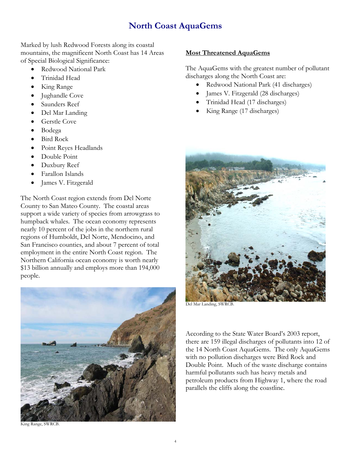### **North Coast AquaGems**

Marked by lush Redwood Forests along its coastal mountains, the magnificent North Coast has 14 Areas of Special Biological Significance:

- Redwood National Park
- Trinidad Head
- King Range
- Jughandle Cove
- Saunders Reef
- Del Mar Landing
- Gerstle Cove
- Bodega
- Bird Rock
- Point Reyes Headlands
- Double Point
- Duxbury Reef
- Farallon Islands
- James V. Fitzgerald

The North Coast region extends from Del Norte County to San Mateo County. The coastal areas support a wide variety of species from arrowgrass to humpback whales. The ocean economy represents nearly 10 percent of the jobs in the northern rural regions of Humboldt, Del Norte, Mendocino, and San Francisco counties, and about 7 percent of total employment in the entire North Coast region. The Northern California ocean economy is worth nearly \$13 billion annually and employs more than 194,000 people.



#### King Range, SWRCB.

#### **Most Threatened AquaGems**

The AquaGems with the greatest number of pollutant discharges along the North Coast are:

- Redwood National Park (41 discharges)
- James V. Fitzgerald (28 discharges)
- Trinidad Head (17 discharges)
- King Range (17 discharges)



Del Mar Landing, SWRCB.

According to the State Water Board's 2003 report, there are 159 illegal discharges of pollutants into 12 of the 14 North Coast AquaGems. The only AquaGems with no pollution discharges were Bird Rock and Double Point. Much of the waste discharge contains harmful pollutants such has heavy metals and petroleum products from Highway 1, where the road parallels the cliffs along the coastline.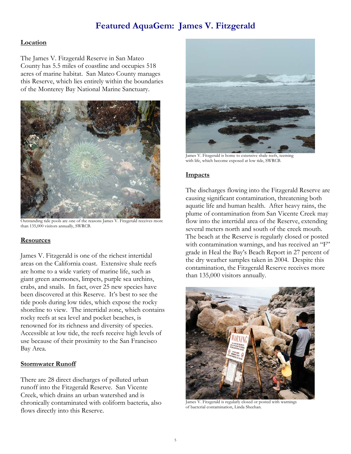### **Featured AquaGem: James V. Fitzgerald**

#### **Location**

The James V. Fitzgerald Reserve in San Mateo County has 5.5 miles of coastline and occupies 518 acres of marine habitat. San Mateo County manages this Reserve, which lies entirely within the boundaries of the Monterey Bay National Marine Sanctuary.



Outstanding tide pools are one of the reasons James V. Fitzgerald receives more than 135,000 visitors annually, SWRCB.

#### **Resources**

James V. Fitzgerald is one of the richest intertidal areas on the California coast. Extensive shale reefs are home to a wide variety of marine life, such as giant green anemones, limpets, purple sea urchins, crabs, and snails. In fact, over 25 new species have been discovered at this Reserve. It's best to see the tide pools during low tides, which expose the rocky shoreline to view. The intertidal zone, which contains rocky reefs at sea level and pocket beaches, is renowned for its richness and diversity of species. Accessible at low tide, the reefs receive high levels of use because of their proximity to the San Francisco Bay Area.

#### **Stormwater Runoff**

There are 28 direct discharges of polluted urban runoff into the Fitzgerald Reserve. San Vicente Creek, which drains an urban watershed and is chronically contaminated with coliform bacteria, also flows directly into this Reserve.



James V. Fitzgerald is home to extensive shale reefs, teeming with life, which become exposed at low tide, SWRCB.

#### **Impacts**

The discharges flowing into the Fitzgerald Reserve are causing significant contamination, threatening both aquatic life and human health. After heavy rains, the plume of contamination from San Vicente Creek may flow into the intertidal area of the Reserve, extending several meters north and south of the creek mouth. The beach at the Reserve is regularly closed or posted with contamination warnings, and has received an "F" grade in Heal the Bay's Beach Report in 27 percent of the dry weather samples taken in 2004. Despite this contamination, the Fitzgerald Reserve receives more than 135,000 visitors annually.



James V. Fitzgerald is regularly closed or posted with warnings of bacterial contamination, Linda Sheehan.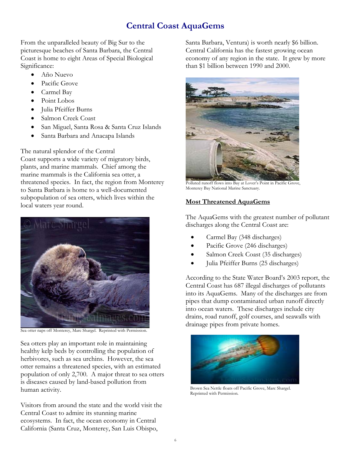### **Central Coast AquaGems**

From the unparalleled beauty of Big Sur to the picturesque beaches of Santa Barbara, the Central Coast is home to eight Areas of Special Biological Significance:

- Año Nuevo
- Pacific Grove
- Carmel Bay
- Point Lobos
- Julia Pfeiffer Burns
- Salmon Creek Coast
- San Miguel, Santa Rosa & Santa Cruz Islands
- Santa Barbara and Anacapa Islands

The natural splendor of the Central

Coast supports a wide variety of migratory birds, plants, and marine mammals. Chief among the marine mammals is the California sea otter, a threatened species. In fact, the region from Monterey to Santa Barbara is home to a well-documented subpopulation of sea otters, which lives within the local waters year round.



Sea otter naps off Monterey, Marc Shargel. Reprinted with Permission.

Sea otters play an important role in maintaining healthy kelp beds by controlling the population of herbivores, such as sea urchins. However, the sea otter remains a threatened species, with an estimated population of only 2,700. A major threat to sea otters is diseases caused by land-based pollution from human activity.

Visitors from around the state and the world visit the Central Coast to admire its stunning marine ecosystems. In fact, the ocean economy in Central California (Santa Cruz, Monterey, San Luis Obispo,

Santa Barbara, Ventura) is worth nearly \$6 billion. Central California has the fastest growing ocean economy of any region in the state. It grew by more than \$1 billion between 1990 and 2000.



Polluted runoff flows into Bay at Lover's Point in Pacific Grove, Monterey Bay National Marine Sanctuary.

### **Most Threatened AquaGems**

The AquaGems with the greatest number of pollutant discharges along the Central Coast are:

- Carmel Bay (348 discharges)
- Pacific Grove (246 discharges)
- Salmon Creek Coast (35 discharges)
- Julia Pfeiffer Burns (25 discharges)

According to the State Water Board's 2003 report, the Central Coast has 687 illegal discharges of pollutants into its AquaGems. Many of the discharges are from pipes that dump contaminated urban runoff directly into ocean waters. These discharges include city drains, road runoff, golf courses, and seawalls with drainage pipes from private homes.



 Brown Sea Nettle floats off Pacific Grove, Marc Shargel. Reprinted with Permission.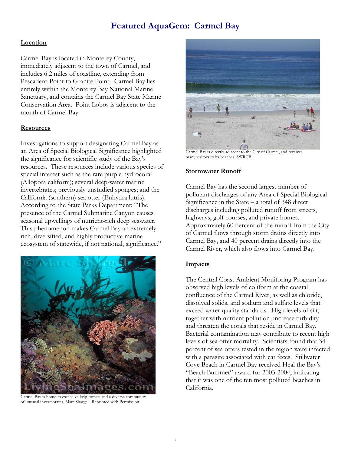### **Featured AquaGem: Carmel Bay**

#### **Location**

Carmel Bay is located in Monterey County, immediately adjacent to the town of Carmel, and includes 6.2 miles of coastline, extending from Pescadero Point to Granite Point. Carmel Bay lies entirely within the Monterey Bay National Marine Sanctuary, and contains the Carmel Bay State Marine Conservation Area. Point Lobos is adjacent to the mouth of Carmel Bay.

#### **Resources**

Investigations to support designating Carmel Bay as an Area of Special Biological Significance highlighted the significance for scientific study of the Bay's resources. These resources include various species of special interest such as the rare purple hydrocoral (Allopora californi); several deep-water marine invertebrates; previously unstudied sponges; and the California (southern) sea otter (Enhydra lutris). According to the State Parks Department: "The presence of the Carmel Submarine Canyon causes seasonal upwellings of nutrient-rich deep seawater. This phenomenon makes Carmel Bay an extremely rich, diversified, and highly productive marine ecosystem of statewide, if not national, significance."



Carmel Bay is home to extensive kelp forests and a diverse community of unusual invertebrates, Marc Shargel. Reprinted with Permission.



Carmel Bay is directly adjacent to the City of Carmel, and receives many visitors to its beaches, SWRCB.

#### **Stormwater Runoff**

Carmel Bay has the second largest number of pollutant discharges of any Area of Special Biological Significance in the State – a total of 348 direct discharges including polluted runoff from streets, highways, golf courses, and private homes. Approximately 60 percent of the runoff from the City of Carmel flows through storm drains directly into Carmel Bay, and 40 percent drains directly into the Carmel River, which also flows into Carmel Bay.

#### **Impacts**

The Central Coast Ambient Monitoring Program has observed high levels of coliform at the coastal confluence of the Carmel River, as well as chloride, dissolved solids, and sodium and sulfate levels that exceed water quality standards. High levels of silt, together with nutrient pollution, increase turbidity and threaten the corals that reside in Carmel Bay. Bacterial contamination may contribute to recent high levels of sea otter mortality. Scientists found that 34 percent of sea otters tested in the region were infected with a parasite associated with cat feces. Stillwater Cove Beach in Carmel Bay received Heal the Bay's "Beach Bummer" award for 2003-2004, indicating that it was one of the ten most polluted beaches in California.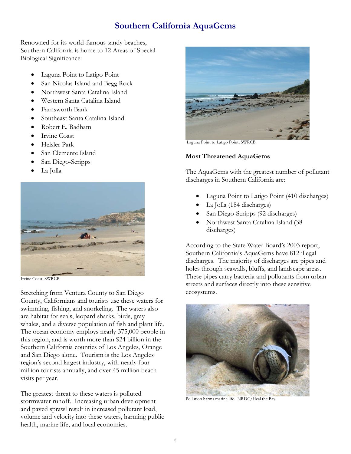### **Southern California AquaGems**

Renowned for its world-famous sandy beaches, Southern California is home to 12 Areas of Special Biological Significance:

- Laguna Point to Latigo Point
- San Nicolas Island and Begg Rock
- Northwest Santa Catalina Island
- Western Santa Catalina Island
- Farnsworth Bank
- Southeast Santa Catalina Island
- Robert E. Badham
- Irvine Coast
- Heisler Park
- San Clemente Island
- San Diego-Scripps
- La Jolla



Irvine Coast, SWRCB.

Stretching from Ventura County to San Diego County, Californians and tourists use these waters for swimming, fishing, and snorkeling. The waters also are habitat for seals, leopard sharks, birds, gray whales, and a diverse population of fish and plant life. The ocean economy employs nearly 375,000 people in this region, and is worth more than \$24 billion in the Southern California counties of Los Angeles, Orange and San Diego alone. Tourism is the Los Angeles region's second largest industry, with nearly four million tourists annually, and over 45 million beach visits per year.

The greatest threat to these waters is polluted stormwater runoff. Increasing urban development and paved sprawl result in increased pollutant load, volume and velocity into these waters, harming public health, marine life, and local economies.



Laguna Point to Latigo Point, SWRCB.

#### **Most Threatened AquaGems**

The AquaGems with the greatest number of pollutant discharges in Southern California are:

- Laguna Point to Latigo Point (410 discharges)
- La Jolla (184 discharges)
- San Diego-Scripps (92 discharges)
- Northwest Santa Catalina Island (38 discharges)

According to the State Water Board's 2003 report, Southern California's AquaGems have 812 illegal discharges. The majority of discharges are pipes and holes through seawalls, bluffs, and landscape areas. These pipes carry bacteria and pollutants from urban streets and surfaces directly into these sensitive ecosystems.



Pollution harms marine life. NRDC/Heal the Bay.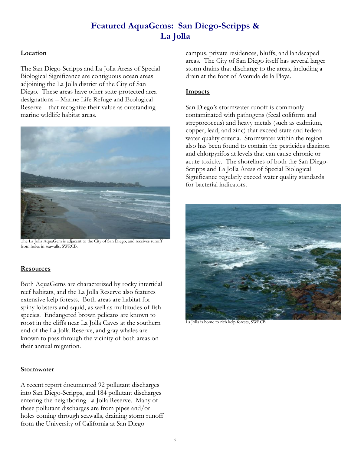## **Featured AquaGems: San Diego-Scripps & La Jolla**

#### **Location**

The San Diego-Scripps and La Jolla Areas of Special Biological Significance are contiguous ocean areas adjoining the La Jolla district of the City of San Diego. These areas have other state-protected area designations – Marine Life Refuge and Ecological Reserve – that recognize their value as outstanding marine wildlife habitat areas.



The La Jolla AquaGem is adjacent to the City of San Diego, and receives runoff from holes in seawalls, SWRCB.

#### **Resources**

Both AquaGems are characterized by rocky intertidal reef habitats, and the La Jolla Reserve also features extensive kelp forests. Both areas are habitat for spiny lobsters and squid, as well as multitudes of fish species. Endangered brown pelicans are known to roost in the cliffs near La Jolla Caves at the southern end of the La Jolla Reserve, and gray whales are known to pass through the vicinity of both areas on their annual migration.

#### **Stormwater**

A recent report documented 92 pollutant discharges into San Diego-Scripps, and 184 pollutant discharges entering the neighboring La Jolla Reserve. Many of these pollutant discharges are from pipes and/or holes coming through seawalls, draining storm runoff from the University of California at San Diego

campus, private residences, bluffs, and landscaped areas. The City of San Diego itself has several larger storm drains that discharge to the areas, including a drain at the foot of Avenida de la Playa.

#### **Impacts**

San Diego's stormwater runoff is commonly contaminated with pathogens (fecal coliform and streptococcus) and heavy metals (such as cadmium, copper, lead, and zinc) that exceed state and federal water quality criteria. Stormwater within the region also has been found to contain the pesticides diazinon and chlorpyrifos at levels that can cause chronic or acute toxicity. The shorelines of both the San Diego-Scripps and La Jolla Areas of Special Biological Significance regularly exceed water quality standards for bacterial indicators.



La Jolla is home to rich kelp forests, SWRCB.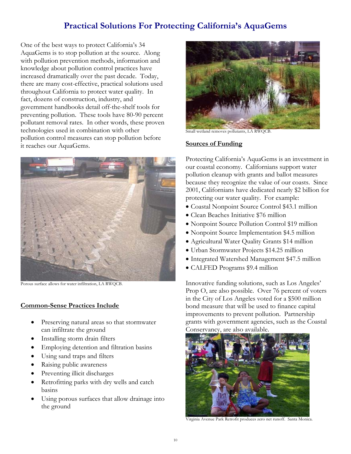### **Practical Solutions For Protecting California's AquaGems**

One of the best ways to protect California's 34 AquaGems is to stop pollution at the source. Along with pollution prevention methods, information and knowledge about pollution control practices have increased dramatically over the past decade. Today, there are many cost-effective, practical solutions used throughout California to protect water quality. In fact, dozens of construction, industry, and government handbooks detail off-the-shelf tools for preventing pollution. These tools have 80-90 percent pollutant removal rates. In other words, these proven technologies used in combination with other pollution control measures can stop pollution before it reaches our AquaGems.



Porous surface allows for water infiltration, LA RWQCB.

#### **Common-Sense Practices Include**

- Preserving natural areas so that stormwater can infiltrate the ground
- Installing storm drain filters
- Employing detention and filtration basins
- Using sand traps and filters
- Raising public awareness
- Preventing illicit discharges
- Retrofitting parks with dry wells and catch basins
- Using porous surfaces that allow drainage into the ground



Small wetland removes pollutants, LA RWQCB.

#### **Sources of Funding**

Protecting California's AquaGems is an investment in our coastal economy. Californians support water pollution cleanup with grants and ballot measures because they recognize the value of our coasts. Since 2001, Californians have dedicated nearly \$2 billion for protecting our water quality. For example:

- Coastal Nonpoint Source Control \$43.1 million
- Clean Beaches Initiative \$76 million
- Nonpoint Source Pollution Control \$19 million
- Nonpoint Source Implementation \$4.5 million
- Agricultural Water Quality Grants \$14 million
- Urban Stormwater Projects \$14.25 million
- Integrated Watershed Management \$47.5 million
- CALFED Programs \$9.4 million

Innovative funding solutions, such as Los Angeles' Prop O, are also possible. Over 76 percent of voters in the City of Los Angeles voted for a \$500 million bond measure that will be used to finance capital improvements to prevent pollution. Partnership grants with government agencies, such as the Coastal Conservancy, are also available.



Virginia Avenue Park Retrofit produces zero net runoff. Santa Monica.